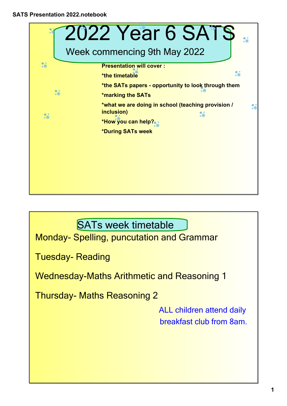

SATs week timetable

Monday- Spelling, puncutation and Grammar

**Tuesday-Reading** 

Wednesday-Maths Arithmetic and Reasoning 1

**Thursday- Maths Reasoning 2** 

ALL children attend daily breakfast club from 8am.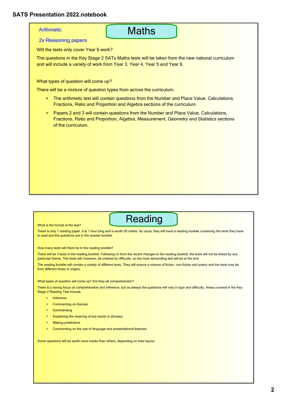### **Arithmetic**

## **Maths**

2x Reasoning papers

Will the tests only cover Year 6 work?

The questions in the Key Stage 2 SATs Maths tests will be taken from the new national curriculum and will include a variety of work from Year 3, Year 4, Year 5 and Year 6.

What types of question will come up?

There will be a mixture of question types from across the curriculum:

- <sup>2</sup> The arithmetic test will contain questions from the Number and Place Value, Calculations, Fractions, Ratio and Proportion and Algebra sections of the curriculum.
- > Papers 2 and 3 will contain questions from the Number and Place Value, Calculations, Fractions, Ratio and Proportion, Algebra, Measurement, Geometry and Statistics sections of the curriculum.

#### What is the format of the test?

Reading

There is only 1 reading paper. It is 1 hour long and is worth 50 marks. As usual, they will have a reading booklet containing the texts they have to read and the questions are in the answer booklet.

How many texts will there be in the reading booklet?

There will be 3 texts in the reading booklet. Following on from the recent changes to the reading booklet, the texts will not be linked by any particular theme. The texts will, however, be ordered by difficulty, so the most demanding text will be at the end.

The reading booklet will contain a variety of different texts. They will ensure a mixture of fiction, non-fiction and poetry and the texts may be from different times or origins.

What types of question will come up? Are they all comprehension?

There is a strong focus on comprehension and inference, but as always the questions will vary in type and difficulty. Areas covered in the Key Stage 2 Reading Test include:

- > Inference
- > Commenting on themes
- > Summarising
- > Explaining the meaning of key words or phrases
- > Making predictions
- > Commenting on the use of language and presentational features

Some questions will be worth more marks than others, depending on their layout.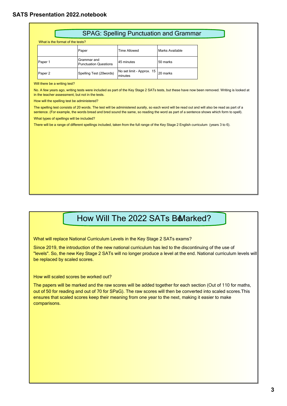|                                                  |                                             |                                      | <b>SPAG: Spelling Punctuation and Grammar</b> |                                                                                                                                               |
|--------------------------------------------------|---------------------------------------------|--------------------------------------|-----------------------------------------------|-----------------------------------------------------------------------------------------------------------------------------------------------|
| What is the format of the tests?                 |                                             |                                      |                                               |                                                                                                                                               |
|                                                  | Paper                                       | <b>Time Allowed</b>                  | Marks Available                               |                                                                                                                                               |
| Paper 1                                          | Grammar and<br><b>Punctuation Questions</b> | 45 minutes                           | 50 marks                                      |                                                                                                                                               |
| Paper 2                                          | Spelling Test (20words)                     | No set limit - Approx. 15<br>minutes | 20 marks                                      |                                                                                                                                               |
| Will there be a writing test?                    |                                             |                                      |                                               |                                                                                                                                               |
| in the teacher assessment, but not in the tests. |                                             |                                      |                                               | No. A few years ago, writing tests were included as part of the Key Stage 2 SATs tests, but these have now been removed. Writing is looked at |
| How will the spelling test be administered?      |                                             |                                      |                                               |                                                                                                                                               |
|                                                  |                                             |                                      |                                               |                                                                                                                                               |

The spelling test consists of 20 words. The test will be administered aurally, so each word will be read out and will also be read as part of a sentence. (For example, the words bread and bred sound the same, so reading the word as part of a sentence shows which form to spell).

What types of spellings will be included?

There will be a range of different spellings included, taken from the full range of the Key Stage 2 English curriculum (years 3 to 6).

# How Will The 2022 SATs BeMarked?

What will replace National Curriculum Levels in the Key Stage 2 SATs exams?

Since 2019, the introduction of the new national curriculum has led to the discontinuing of the use of "levels". So, the new Key Stage 2 SATs will no longer produce a level at the end. National curriculum levels will be replaced by scaled scores.

How will scaled scores be worked out?

The papers will be marked and the raw scores will be added together for each section (Out of 110 for maths, out of 50 for reading and out of 70 for SPaG). The raw scores will then be converted into scaled scores.This ensures that scaled scores keep their meaning from one year to the next, making it easier to make comparisons.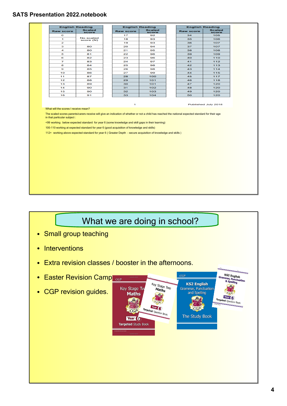| <b>Scaled</b><br><b>Scaled</b><br><b>Scaled</b><br><b>Raw score</b><br><b>Raw score</b><br><b>Raw score</b><br><b>score</b><br>score<br>score<br>17<br>34<br>105<br>$\mathbf{o}$<br>92<br>No scaled<br>$\mathbf 1$<br>18<br>93<br>35<br>106<br>score (N)<br>$\mathbf{z}$<br>19<br>93<br>36<br>107<br>з<br>80<br>20<br>94<br>37<br>107<br>4<br>80<br>21<br>38<br>108<br>95<br>22<br>109<br>5<br>81<br>96<br>39<br>6<br>23<br>96<br>110<br>82<br>40<br>7<br>83<br>24<br>97<br>41<br>112<br>8<br>84<br>25<br>42<br>113<br>98<br>26<br>114<br>9<br>85<br>98<br>43<br>115<br>10<br>86<br>27<br>99<br>44<br>11<br>87<br>28<br>100<br>45<br>117<br>12<br>88<br>29<br>101<br>46<br>118<br>13<br>$101$<br>120<br>89<br>30<br>47<br>120<br>14<br>90<br>31<br>102<br>48<br>15<br>90<br>32<br>103<br>49<br>120<br>16<br>91<br>33<br>104<br>120<br>50<br>$\mathbf{I}$<br>Published July 2018<br>What will the scores I receive mean?<br>The scaled scores parents/carers receive will give an indication of whether or not a child has reached the national expected standard for their age<br>in that particular subject :<br><99 working below expected standard for year 6 (some knowledge and skill gaps in their learning)<br>100-110 working at expected standard for year 6 (good acquisition of knowledge and skills)<br>112+ working above expected standard for year 6 (Greater Depth - secure acquisition of knowledge and skills) |
|----------------------------------------------------------------------------------------------------------------------------------------------------------------------------------------------------------------------------------------------------------------------------------------------------------------------------------------------------------------------------------------------------------------------------------------------------------------------------------------------------------------------------------------------------------------------------------------------------------------------------------------------------------------------------------------------------------------------------------------------------------------------------------------------------------------------------------------------------------------------------------------------------------------------------------------------------------------------------------------------------------------------------------------------------------------------------------------------------------------------------------------------------------------------------------------------------------------------------------------------------------------------------------------------------------------------------------------------------------------------------------------------------------------------------------|
|                                                                                                                                                                                                                                                                                                                                                                                                                                                                                                                                                                                                                                                                                                                                                                                                                                                                                                                                                                                                                                                                                                                                                                                                                                                                                                                                                                                                                                  |
|                                                                                                                                                                                                                                                                                                                                                                                                                                                                                                                                                                                                                                                                                                                                                                                                                                                                                                                                                                                                                                                                                                                                                                                                                                                                                                                                                                                                                                  |
|                                                                                                                                                                                                                                                                                                                                                                                                                                                                                                                                                                                                                                                                                                                                                                                                                                                                                                                                                                                                                                                                                                                                                                                                                                                                                                                                                                                                                                  |
|                                                                                                                                                                                                                                                                                                                                                                                                                                                                                                                                                                                                                                                                                                                                                                                                                                                                                                                                                                                                                                                                                                                                                                                                                                                                                                                                                                                                                                  |
|                                                                                                                                                                                                                                                                                                                                                                                                                                                                                                                                                                                                                                                                                                                                                                                                                                                                                                                                                                                                                                                                                                                                                                                                                                                                                                                                                                                                                                  |
|                                                                                                                                                                                                                                                                                                                                                                                                                                                                                                                                                                                                                                                                                                                                                                                                                                                                                                                                                                                                                                                                                                                                                                                                                                                                                                                                                                                                                                  |
|                                                                                                                                                                                                                                                                                                                                                                                                                                                                                                                                                                                                                                                                                                                                                                                                                                                                                                                                                                                                                                                                                                                                                                                                                                                                                                                                                                                                                                  |
|                                                                                                                                                                                                                                                                                                                                                                                                                                                                                                                                                                                                                                                                                                                                                                                                                                                                                                                                                                                                                                                                                                                                                                                                                                                                                                                                                                                                                                  |
|                                                                                                                                                                                                                                                                                                                                                                                                                                                                                                                                                                                                                                                                                                                                                                                                                                                                                                                                                                                                                                                                                                                                                                                                                                                                                                                                                                                                                                  |
|                                                                                                                                                                                                                                                                                                                                                                                                                                                                                                                                                                                                                                                                                                                                                                                                                                                                                                                                                                                                                                                                                                                                                                                                                                                                                                                                                                                                                                  |
|                                                                                                                                                                                                                                                                                                                                                                                                                                                                                                                                                                                                                                                                                                                                                                                                                                                                                                                                                                                                                                                                                                                                                                                                                                                                                                                                                                                                                                  |
|                                                                                                                                                                                                                                                                                                                                                                                                                                                                                                                                                                                                                                                                                                                                                                                                                                                                                                                                                                                                                                                                                                                                                                                                                                                                                                                                                                                                                                  |
|                                                                                                                                                                                                                                                                                                                                                                                                                                                                                                                                                                                                                                                                                                                                                                                                                                                                                                                                                                                                                                                                                                                                                                                                                                                                                                                                                                                                                                  |
|                                                                                                                                                                                                                                                                                                                                                                                                                                                                                                                                                                                                                                                                                                                                                                                                                                                                                                                                                                                                                                                                                                                                                                                                                                                                                                                                                                                                                                  |
|                                                                                                                                                                                                                                                                                                                                                                                                                                                                                                                                                                                                                                                                                                                                                                                                                                                                                                                                                                                                                                                                                                                                                                                                                                                                                                                                                                                                                                  |
|                                                                                                                                                                                                                                                                                                                                                                                                                                                                                                                                                                                                                                                                                                                                                                                                                                                                                                                                                                                                                                                                                                                                                                                                                                                                                                                                                                                                                                  |
|                                                                                                                                                                                                                                                                                                                                                                                                                                                                                                                                                                                                                                                                                                                                                                                                                                                                                                                                                                                                                                                                                                                                                                                                                                                                                                                                                                                                                                  |
|                                                                                                                                                                                                                                                                                                                                                                                                                                                                                                                                                                                                                                                                                                                                                                                                                                                                                                                                                                                                                                                                                                                                                                                                                                                                                                                                                                                                                                  |
|                                                                                                                                                                                                                                                                                                                                                                                                                                                                                                                                                                                                                                                                                                                                                                                                                                                                                                                                                                                                                                                                                                                                                                                                                                                                                                                                                                                                                                  |

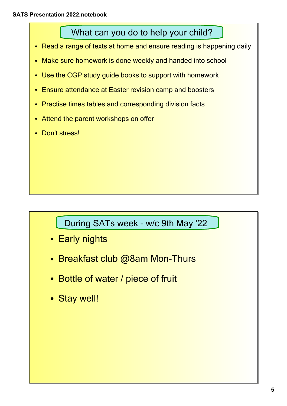What can you do to help your child?

- •Read a range of texts at home and ensure reading is happening daily
- •Make sure homework is done weekly and handed into school
- •Use the CGP study guide books to support with homework
- •Ensure attendance at Easter revision camp and boosters
- •Practise times tables and corresponding division facts
- •Attend the parent workshops on offer
- •Don't stress!

During SATs week - w/c 9th May '22

- Early nights
- $\quad \bullet \ \,$  Breakfast club @8am Mon-Thurs
- Bottle of water / piece of fruit
- Stay well!